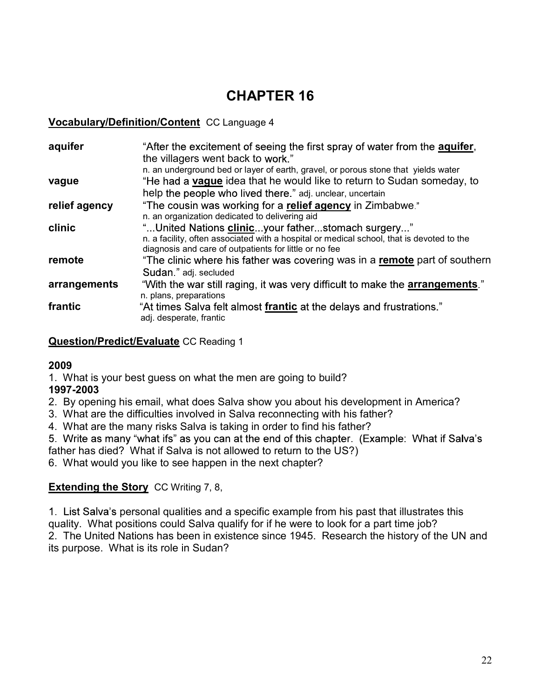# CHAPTER 16

### Vocabulary/Definition/Content CC Language 4

| aquifer       | "After the excitement of seeing the first spray of water from the <b>aquifer</b> ,        |
|---------------|-------------------------------------------------------------------------------------------|
|               | the villagers went back to work."                                                         |
|               | n. an underground bed or layer of earth, gravel, or porous stone that yields water        |
| vague         | "He had a <b>vague</b> idea that he would like to return to Sudan someday, to             |
|               | help the people who lived there." adj. unclear, uncertain                                 |
| relief agency | "The cousin was working for a relief agency in Zimbabwe."                                 |
|               | n. an organization dedicated to delivering aid                                            |
| clinic        | "United Nations clinicyour fatherstomach surgery"                                         |
|               | n. a facility, often associated with a hospital or medical school, that is devoted to the |
|               | diagnosis and care of outpatients for little or no fee                                    |
| remote        | "The clinic where his father was covering was in a remote part of southern                |
|               | Sudan " adj. secluded                                                                     |
| arrangements  | "With the war still raging, it was very difficult to make the <b>arrangements</b> ."      |
|               | n. plans, preparations                                                                    |
| frantic       | "At times Salva felt almost frantic at the delays and frustrations."                      |
|               | adj. desperate, frantic                                                                   |
|               |                                                                                           |

**Question/Predict/Evaluate CC Reading 1** 

### 2009

1. What is your best guess on what the men are going to build?

## 1997-2003

- 2. By opening his email, what does Salva show you about his development in America?
- 3. What are the difficulties involved in Salva reconnecting with his father?
- 4. What are the many risks Salva is taking in order to find his father?

father has died? What if Salva is not allowed to return to the US?)

6. What would you like to see happen in the next chapter?

## **Extending the Story CC Writing 7, 8,**

1. List Salva's personal qualities and a specific example from his past that illustrates this quality. What positions could Salva qualify for if he were to look for a part time job? rantic<br>
At times say a relit almost <u>trantic</u> at the delays and trustrations.<br> **Question/Predict/Evaluate** CC Reading 1<br> **1.** What is your best guess on what the men are going to build?<br> **1997-2003**<br>
2. By opening his emai its purpose. What is its role in Sudan?